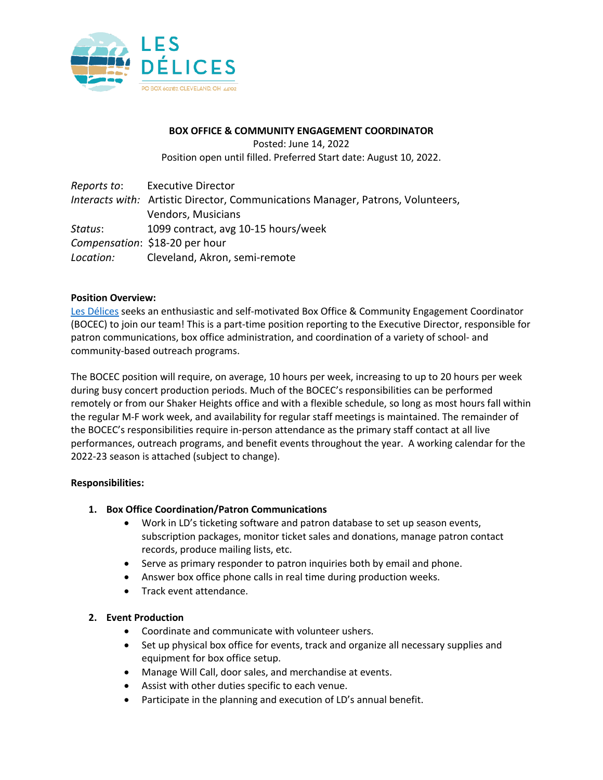

#### **BOX OFFICE & COMMUNITY ENGAGEMENT COORDINATOR**

Posted: June 14, 2022

Position open until filled. Preferred Start date: August 10, 2022.

| Reports to: | <b>Executive Director</b>                                                       |
|-------------|---------------------------------------------------------------------------------|
|             | Interacts with: Artistic Director, Communications Manager, Patrons, Volunteers, |
|             | Vendors, Musicians                                                              |
| Status:     | 1099 contract, avg 10-15 hours/week                                             |
|             | Compensation: \$18-20 per hour                                                  |
| Location:   | Cleveland, Akron, semi-remote                                                   |

#### **Position Overview:**

Les Délices seeks an enthusiastic and self-motivated Box Office & Community Engagement Coordinator (BOCEC) to join our team! This is a part-time position reporting to the Executive Director, responsible for patron communications, box office administration, and coordination of a variety of school- and community-based outreach programs.

The BOCEC position will require, on average, 10 hours per week, increasing to up to 20 hours per week during busy concert production periods. Much of the BOCEC's responsibilities can be performed remotely or from our Shaker Heights office and with a flexible schedule, so long as most hours fall within the regular M-F work week, and availability for regular staff meetings is maintained. The remainder of the BOCEC's responsibilities require in-person attendance as the primary staff contact at all live performances, outreach programs, and benefit events throughout the year. A working calendar for the 2022-23 season is attached (subject to change).

# **Responsibilities:**

# **1. Box Office Coordination/Patron Communications**

- Work in LD's ticketing software and patron database to set up season events, subscription packages, monitor ticket sales and donations, manage patron contact records, produce mailing lists, etc.
- Serve as primary responder to patron inquiries both by email and phone.
- Answer box office phone calls in real time during production weeks.
- Track event attendance.

#### **2. Event Production**

- Coordinate and communicate with volunteer ushers.
- Set up physical box office for events, track and organize all necessary supplies and equipment for box office setup.
- Manage Will Call, door sales, and merchandise at events.
- Assist with other duties specific to each venue.
- Participate in the planning and execution of LD's annual benefit.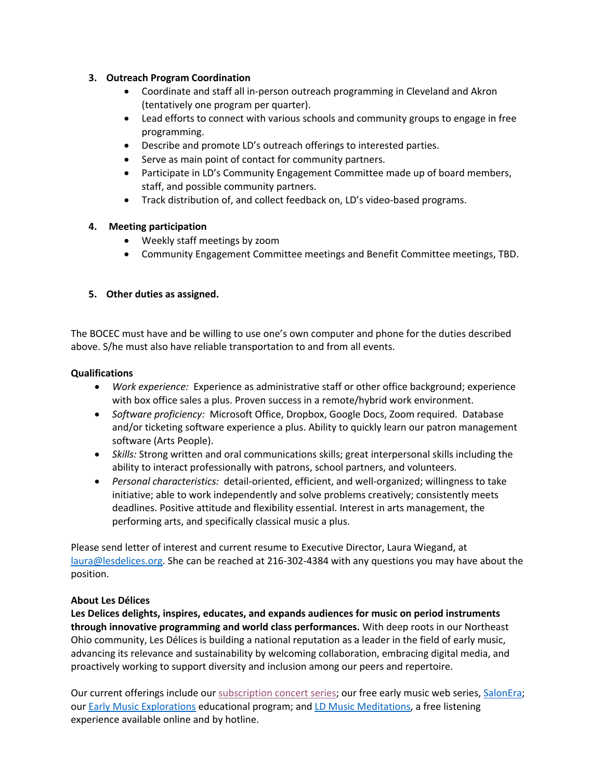#### **3. Outreach Program Coordination**

- Coordinate and staff all in-person outreach programming in Cleveland and Akron (tentatively one program per quarter).
- Lead efforts to connect with various schools and community groups to engage in free programming.
- Describe and promote LD's outreach offerings to interested parties.
- Serve as main point of contact for community partners.
- Participate in LD's Community Engagement Committee made up of board members, staff, and possible community partners.
- Track distribution of, and collect feedback on, LD's video-based programs.

# **4. Meeting participation**

- Weekly staff meetings by zoom
- Community Engagement Committee meetings and Benefit Committee meetings, TBD.

# **5. Other duties as assigned.**

The BOCEC must have and be willing to use one's own computer and phone for the duties described above. S/he must also have reliable transportation to and from all events.

#### **Qualifications**

- *Work experience:* Experience as administrative staff or other office background; experience with box office sales a plus. Proven success in a remote/hybrid work environment.
- *Software proficiency:* Microsoft Office, Dropbox, Google Docs, Zoom required. Database and/or ticketing software experience a plus. Ability to quickly learn our patron management software (Arts People).
- *Skills:* Strong written and oral communications skills; great interpersonal skills including the ability to interact professionally with patrons, school partners, and volunteers.
- *Personal characteristics:* detail-oriented, efficient, and well-organized; willingness to take initiative; able to work independently and solve problems creatively; consistently meets deadlines. Positive attitude and flexibility essential. Interest in arts management, the performing arts, and specifically classical music a plus.

Please send letter of interest and current resume to Executive Director, Laura Wiegand, at laura@lesdelices.org. She can be reached at 216-302-4384 with any questions you may have about the position.

# **About Les Délices**

**Les Delices delights, inspires, educates, and expands audiences for music on period instruments through innovative programming and world class performances.** With deep roots in our Northeast Ohio community, Les Délices is building a national reputation as a leader in the field of early music, advancing its relevance and sustainability by welcoming collaboration, embracing digital media, and proactively working to support diversity and inclusion among our peers and repertoire.

Our current offerings include our subscription concert series; our free early music web series, SalonEra; our Early Music Explorations educational program; and LD Music Meditations, a free listening experience available online and by hotline.